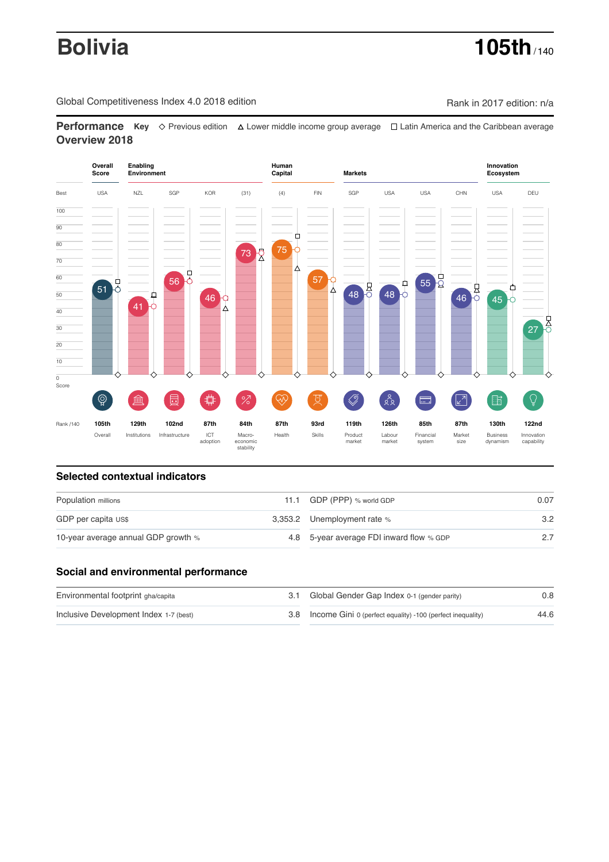# **Bolivia 105th** / 140

Global Competitiveness Index 4.0 2018 edition Company Company Rank in 2017 edition: n/a

**Performance** Key  $\Diamond$  Previous edition  $\triangle$  Lower middle income group average  $\Box$  Latin America and the Caribbean average **Overview 2018**



# **Selected contextual indicators**

| Population millions                 | 11.1 GDP (PPP) % world GDP               | 0.07 |  |
|-------------------------------------|------------------------------------------|------|--|
| GDP per capita US\$                 | 3,353.2 Unemployment rate %              | 3.2  |  |
| 10-year average annual GDP growth % | 4.8 5-year average FDI inward flow % GDP |      |  |

### **Social and environmental performance**

| Environmental footprint gha/capita     | 3.1 Global Gender Gap Index 0-1 (gender parity)                | 0.8  |
|----------------------------------------|----------------------------------------------------------------|------|
| Inclusive Development Index 1-7 (best) | 3.8 Income Gini 0 (perfect equality) -100 (perfect inequality) | 44.6 |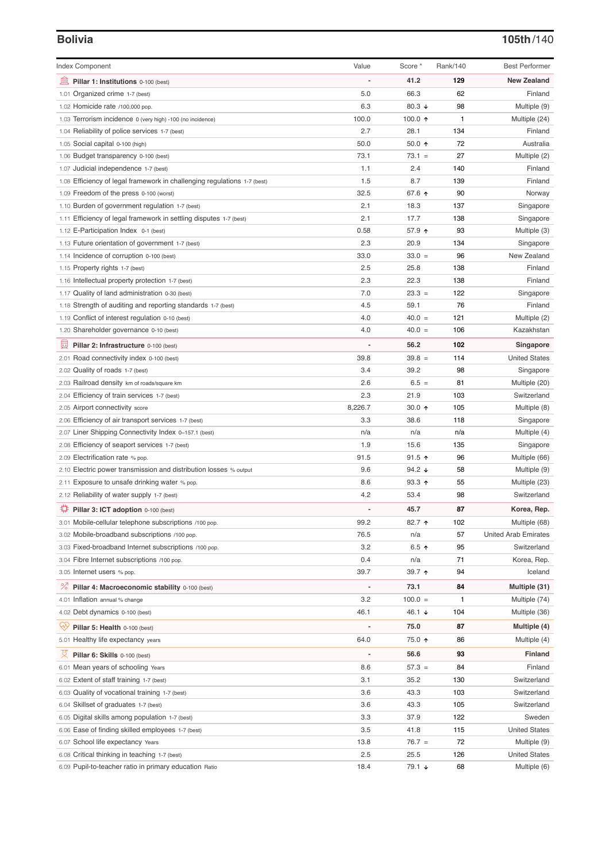# **Bolivia 105th**/140

| <b>Index Component</b>                                                   | Value                    | Score *                  | Rank/140     | <b>Best Performer</b>        |
|--------------------------------------------------------------------------|--------------------------|--------------------------|--------------|------------------------------|
| Pillar 1: Institutions 0-100 (best)                                      |                          | 41.2                     | 129          | <b>New Zealand</b>           |
| 1.01 Organized crime 1-7 (best)                                          | 5.0                      | 66.3                     | 62           | Finland                      |
| 1.02 Homicide rate /100,000 pop.                                         | 6.3                      | 80.3 $\sqrt{ }$          | 98           | Multiple (9)                 |
| 1.03 Terrorism incidence 0 (very high) -100 (no incidence)               | 100.0                    | 100.0 $\uparrow$         | $\mathbf{1}$ | Multiple (24)                |
| 1.04 Reliability of police services 1-7 (best)                           | 2.7                      | 28.1                     | 134          | Finland                      |
| 1.05 Social capital 0-100 (high)                                         | 50.0                     | 50.0 $\uparrow$          | 72           | Australia                    |
| 1.06 Budget transparency 0-100 (best)                                    | 73.1                     | $73.1 =$                 | 27           | Multiple (2)                 |
| 1.07 Judicial independence 1-7 (best)                                    | 1.1                      | 2.4                      | 140          | Finland                      |
| 1.08 Efficiency of legal framework in challenging regulations 1-7 (best) | 1.5                      | 8.7                      | 139          | Finland                      |
| 1.09 Freedom of the press 0-100 (worst)                                  | 32.5                     | 67.6 ↑                   | 90           | Norway                       |
| 1.10 Burden of government regulation 1-7 (best)                          | 2.1                      | 18.3                     | 137          | Singapore                    |
| 1.11 Efficiency of legal framework in settling disputes 1-7 (best)       | 2.1                      | 17.7                     | 138          | Singapore                    |
| 1.12 E-Participation Index 0-1 (best)                                    | 0.58                     | 57.9 ↑                   | 93           | Multiple (3)                 |
| 1.13 Future orientation of government 1-7 (best)                         | 2.3                      | 20.9                     | 134          | Singapore                    |
| 1.14 Incidence of corruption 0-100 (best)                                | 33.0                     | $33.0 =$                 | 96           | New Zealand                  |
| 1.15 Property rights 1-7 (best)                                          | 2.5                      | 25.8                     | 138          | Finland                      |
| 1.16 Intellectual property protection 1-7 (best)                         | 2.3                      | 22.3                     | 138          | Finland                      |
| 1.17 Quality of land administration 0-30 (best)                          | 7.0                      | $23.3 =$                 | 122          | Singapore                    |
| 1.18 Strength of auditing and reporting standards 1-7 (best)             | 4.5                      | 59.1                     | 76           | Finland                      |
| 1.19 Conflict of interest regulation 0-10 (best)                         | 4.0                      | $40.0 =$                 | 121          | Multiple (2)                 |
| 1.20 Shareholder governance 0-10 (best)                                  | 4.0                      | $40.0 =$                 | 106          | Kazakhstan                   |
| 囩<br>Pillar 2: Infrastructure 0-100 (best)                               | $\overline{\phantom{0}}$ | 56.2                     | 102          | Singapore                    |
| 2.01 Road connectivity index 0-100 (best)                                | 39.8                     | $39.8 =$                 | 114          | <b>United States</b>         |
| 2.02 Quality of roads 1-7 (best)                                         | 3.4                      | 39.2                     | 98           | Singapore                    |
|                                                                          | 2.6                      | $6.5 =$                  | 81           |                              |
| 2.03 Railroad density km of roads/square km                              | 2.3                      | 21.9                     | 103          | Multiple (20)<br>Switzerland |
| 2.04 Efficiency of train services 1-7 (best)                             |                          |                          |              |                              |
| 2.05 Airport connectivity score                                          | 8,226.7                  | 30.0 $\uparrow$          | 105          | Multiple (8)                 |
| 2.06 Efficiency of air transport services 1-7 (best)                     | 3.3                      | 38.6                     | 118          | Singapore                    |
| 2.07 Liner Shipping Connectivity Index 0-157.1 (best)                    | n/a                      | n/a                      | n/a          | Multiple (4)                 |
| 2.08 Efficiency of seaport services 1-7 (best)                           | 1.9                      | 15.6                     | 135          | Singapore                    |
| 2.09 Electrification rate % pop.                                         | 91.5                     | $91.5$ ↑                 | 96           | Multiple (66)                |
| 2.10 Electric power transmission and distribution losses % output        | 9.6                      | 94.2 $\sqrt{ }$          | 58           | Multiple (9)                 |
| 2.11 Exposure to unsafe drinking water % pop.                            | 8.6                      | $93.3 \text{ } \Upsilon$ | 55           | Multiple (23)                |
| 2.12 Reliability of water supply 1-7 (best)                              | 4.2                      | 53.4                     | 98           | Switzerland                  |
| 尊<br>Pillar 3: ICT adoption 0-100 (best)                                 |                          | 45.7                     | 87           | Korea, Rep.                  |
| 3.01 Mobile-cellular telephone subscriptions /100 pop.                   | 99.2                     | 82.7 ↑                   | 102          | Multiple (68)                |
| 3.02 Mobile-broadband subscriptions /100 pop.                            | 76.5                     | n/a                      | 57           | <b>United Arab Emirates</b>  |
| 3.03 Fixed-broadband Internet subscriptions /100 pop.                    | 3.2                      | 6.5 $\uparrow$           | 95           | Switzerland                  |
| 3.04 Fibre Internet subscriptions /100 pop.                              | 0.4                      | n/a                      | 71           | Korea, Rep.                  |
| 3.05 Internet users % pop.                                               | 39.7                     | 39.7 $\uparrow$          | 94           | Iceland                      |
| <sup>%</sup> Pillar 4: Macroeconomic stability 0-100 (best)              | $\overline{\phantom{m}}$ | 73.1                     | 84           | Multiple (31)                |
| 4.01 Inflation annual % change                                           | 3.2                      | $100.0 =$                | 1            | Multiple (74)                |
| 4.02 Debt dynamics 0-100 (best)                                          | 46.1                     | 46.1 ↓                   | 104          | Multiple (36)                |
| ųÿ<br>Pillar 5: Health 0-100 (best)                                      | $\overline{a}$           | 75.0                     | 87           | Multiple (4)                 |
| 5.01 Healthy life expectancy years                                       | 64.0                     | 75.0 ↑                   | 86           | Multiple (4)                 |
| 섯<br>Pillar 6: Skills 0-100 (best)                                       | $\overline{a}$           | 56.6                     | 93           | <b>Finland</b>               |
| 6.01 Mean years of schooling Years                                       | 8.6                      | $57.3 =$                 | 84           | Finland                      |
| 6.02 Extent of staff training 1-7 (best)                                 | 3.1                      | 35.2                     | 130          | Switzerland                  |
| 6.03 Quality of vocational training 1-7 (best)                           | 3.6                      | 43.3                     | 103          | Switzerland                  |
| 6.04 Skillset of graduates 1-7 (best)                                    | 3.6                      | 43.3                     | 105          | Switzerland                  |
| 6.05 Digital skills among population 1-7 (best)                          | 3.3                      | 37.9                     | 122          | Sweden                       |
| Ease of finding skilled employees 1-7 (best)<br>6.06                     | 3.5                      | 41.8                     | 115          | <b>United States</b>         |
| 6.07 School life expectancy Years                                        | 13.8                     | $76.7 =$                 | 72           | Multiple (9)                 |
| 6.08 Critical thinking in teaching 1-7 (best)                            | 2.5                      | 25.5                     | 126          | <b>United States</b>         |
| 6.09 Pupil-to-teacher ratio in primary education Ratio                   | 18.4                     | 79.1 ↓                   | 68           | Multiple (6)                 |